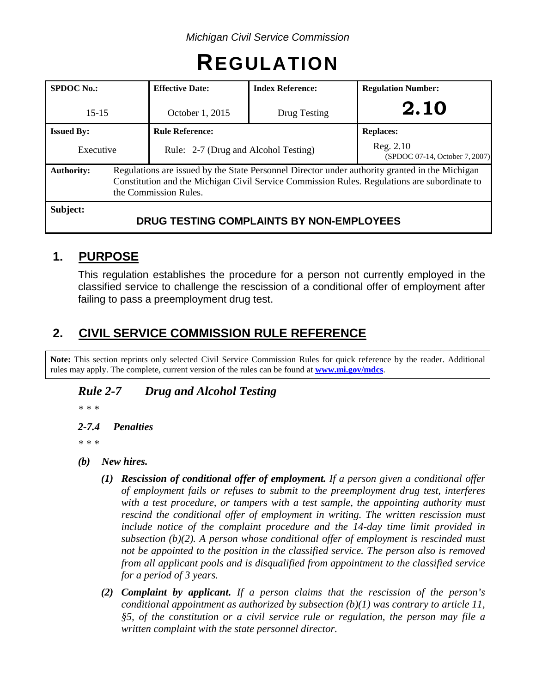# **REGULATION**

| <b>SPDOC No.:</b>                                                                                                                                                                                                                            | <b>Effective Date:</b> | <b>Index Reference:</b>                  | <b>Regulation Number:</b>                   |
|----------------------------------------------------------------------------------------------------------------------------------------------------------------------------------------------------------------------------------------------|------------------------|------------------------------------------|---------------------------------------------|
| $15 - 15$                                                                                                                                                                                                                                    | October 1, 2015        | Drug Testing                             | 2.10                                        |
| <b>Issued By:</b>                                                                                                                                                                                                                            | <b>Rule Reference:</b> |                                          | <b>Replaces:</b>                            |
| Rule: 2-7 (Drug and Alcohol Testing)<br>Executive                                                                                                                                                                                            |                        |                                          | Reg. 2.10<br>(SPDOC 07-14, October 7, 2007) |
| Regulations are issued by the State Personnel Director under authority granted in the Michigan<br><b>Authority:</b><br>Constitution and the Michigan Civil Service Commission Rules. Regulations are subordinate to<br>the Commission Rules. |                        |                                          |                                             |
| Subject:                                                                                                                                                                                                                                     |                        | DRUG TESTING COMPLAINTS BY NON-EMPLOYEES |                                             |

## **1. PURPOSE**

This regulation establishes the procedure for a person not currently employed in the classified service to challenge the rescission of a conditional offer of employment after failing to pass a preemployment drug test.

# **2. CIVIL SERVICE COMMISSION RULE REFERENCE**

**Note:** This section reprints only selected Civil Service Commission Rules for quick reference by the reader. Additional rules may apply. The complete, current version of the rules can be found at **[www.mi.gov/mdcs](http://www.mi.gov/mdcs)**.

## *Rule 2-7 Drug and Alcohol Testing*

*\* \* \**

*2-7.4 Penalties*

*\* \* \**

- *(b) New hires.*
	- *(1) Rescission of conditional offer of employment. If a person given a conditional offer of employment fails or refuses to submit to the preemployment drug test, interferes*  with a test procedure, or tampers with a test sample, the appointing authority must *rescind the conditional offer of employment in writing. The written rescission must*  include notice of the complaint procedure and the 14-day time limit provided in *subsection (b)(2). A person whose conditional offer of employment is rescinded must not be appointed to the position in the classified service. The person also is removed from all applicant pools and is disqualified from appointment to the classified service for a period of 3 years.*
	- *(2) Complaint by applicant. If a person claims that the rescission of the person's conditional appointment as authorized by subsection (b)(1) was contrary to article 11, §5, of the constitution or a civil service rule or regulation, the person may file a written complaint with the state personnel director.*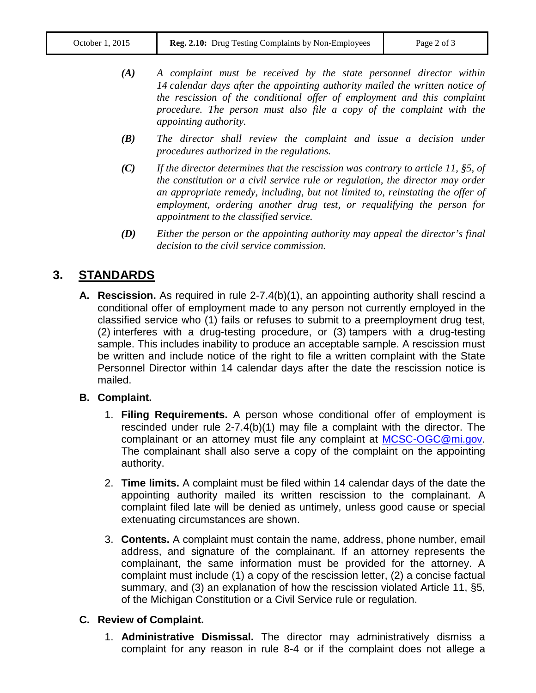- *(A) A complaint must be received by the state personnel director within 14 calendar days after the appointing authority mailed the written notice of the rescission of the conditional offer of employment and this complaint procedure. The person must also file a copy of the complaint with the appointing authority.*
- *(B) The director shall review the complaint and issue a decision under procedures authorized in the regulations.*
- *(C) If the director determines that the rescission was contrary to article 11, §5, of the constitution or a civil service rule or regulation, the director may order an appropriate remedy, including, but not limited to, reinstating the offer of employment, ordering another drug test, or requalifying the person for appointment to the classified service.*
- *(D) Either the person or the appointing authority may appeal the director's final decision to the civil service commission.*

## **3. STANDARDS**

**A. Rescission.** As required in rule 2-7.4(b)(1), an appointing authority shall rescind a conditional offer of employment made to any person not currently employed in the classified service who (1) fails or refuses to submit to a preemployment drug test, (2) interferes with a drug-testing procedure, or (3) tampers with a drug-testing sample. This includes inability to produce an acceptable sample. A rescission must be written and include notice of the right to file a written complaint with the State Personnel Director within 14 calendar days after the date the rescission notice is mailed.

#### **B. Complaint.**

- 1. **Filing Requirements.** A person whose conditional offer of employment is rescinded under rule 2-7.4(b)(1) may file a complaint with the director. The complainant or an attorney must file any complaint at [MCSC-OGC@mi.gov.](mailto:MCSC-OGC@mi.gov) The complainant shall also serve a copy of the complaint on the appointing authority.
- 2. **Time limits.** A complaint must be filed within 14 calendar days of the date the appointing authority mailed its written rescission to the complainant. A complaint filed late will be denied as untimely, unless good cause or special extenuating circumstances are shown.
- 3. **Contents.** A complaint must contain the name, address, phone number, email address, and signature of the complainant. If an attorney represents the complainant, the same information must be provided for the attorney. A complaint must include (1) a copy of the rescission letter, (2) a concise factual summary, and (3) an explanation of how the rescission violated Article 11, §5, of the Michigan Constitution or a Civil Service rule or regulation.

### **C. Review of Complaint.**

1. **Administrative Dismissal.** The director may administratively dismiss a complaint for any reason in rule 8-4 or if the complaint does not allege a